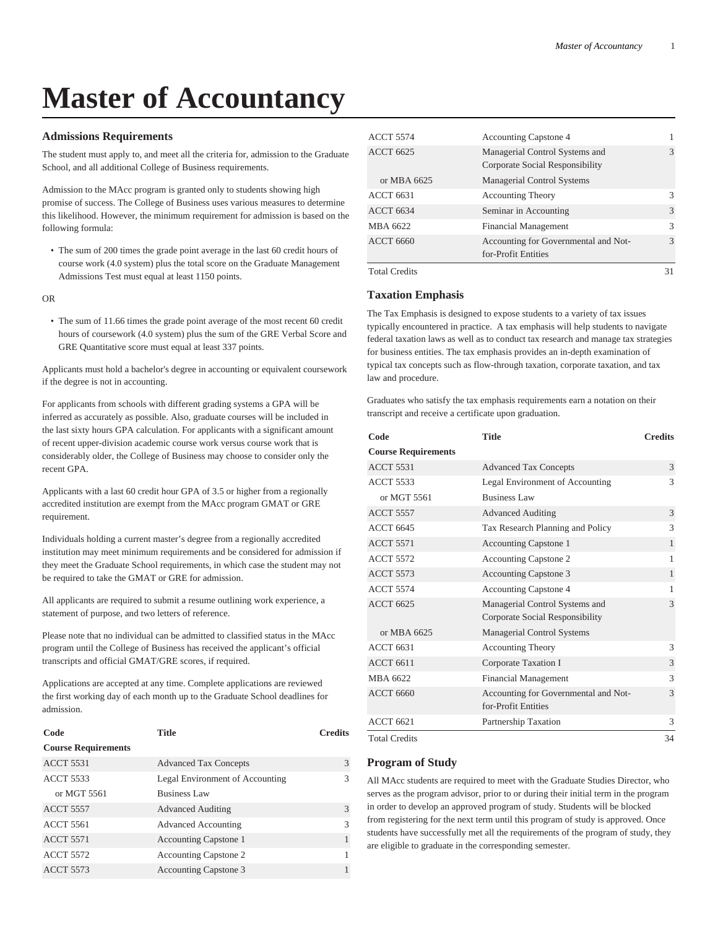# **Master of Accountancy**

## **Admissions Requirements**

The student must apply to, and meet all the criteria for, admission to the Graduate School, and all additional College of Business requirements.

Admission to the MAcc program is granted only to students showing high promise of success. The College of Business uses various measures to determine this likelihood. However, the minimum requirement for admission is based on the following formula:

• The sum of 200 times the grade point average in the last 60 credit hours of course work (4.0 system) plus the total score on the Graduate Management Admissions Test must equal at least 1150 points.

OR

• The sum of 11.66 times the grade point average of the most recent 60 credit hours of coursework (4.0 system) plus the sum of the GRE Verbal Score and GRE Quantitative score must equal at least 337 points.

Applicants must hold a bachelor's degree in accounting or equivalent coursework if the degree is not in accounting.

For applicants from schools with different grading systems a GPA will be inferred as accurately as possible. Also, graduate courses will be included in the last sixty hours GPA calculation. For applicants with a significant amount of recent upper-division academic course work versus course work that is considerably older, the College of Business may choose to consider only the recent GPA.

Applicants with a last 60 credit hour GPA of 3.5 or higher from a regionally accredited institution are exempt from the MAcc program GMAT or GRE requirement.

Individuals holding a current master's degree from a regionally accredited institution may meet minimum requirements and be considered for admission if they meet the Graduate School requirements, in which case the student may not be required to take the GMAT or GRE for admission.

All applicants are required to submit a resume outlining work experience, a statement of purpose, and two letters of reference.

Please note that no individual can be admitted to classified status in the MAcc program until the College of Business has received the applicant's official transcripts and official GMAT/GRE scores, if required.

Applications are accepted at any time. Complete applications are reviewed the first working day of each month up to the Graduate School deadlines for admission.

| Code                       | <b>Title</b>                    | <b>Credits</b> |
|----------------------------|---------------------------------|----------------|
| <b>Course Requirements</b> |                                 |                |
| <b>ACCT 5531</b>           | <b>Advanced Tax Concepts</b>    | 3              |
| <b>ACCT 5533</b>           | Legal Environment of Accounting | 3              |
| or MGT 5561                | <b>Business Law</b>             |                |
| <b>ACCT 5557</b>           | <b>Advanced Auditing</b>        | $\mathcal{F}$  |
| <b>ACCT 5561</b>           | <b>Advanced Accounting</b>      | 3              |
| <b>ACCT 5571</b>           | Accounting Capstone 1           |                |
| <b>ACCT 5572</b>           | <b>Accounting Capstone 2</b>    |                |
| <b>ACCT 5573</b>           | <b>Accounting Capstone 3</b>    |                |

| <b>ACCT 5574</b>     | <b>Accounting Capstone 4</b>                                      |               |
|----------------------|-------------------------------------------------------------------|---------------|
| <b>ACCT 6625</b>     | Managerial Control Systems and<br>Corporate Social Responsibility | $\mathcal{R}$ |
| or MBA 6625          | <b>Managerial Control Systems</b>                                 |               |
| <b>ACCT 6631</b>     | <b>Accounting Theory</b>                                          | $\mathcal{R}$ |
| <b>ACCT 6634</b>     | Seminar in Accounting                                             | $\mathcal{R}$ |
| MBA 6622             | <b>Financial Management</b>                                       | $\mathcal{R}$ |
| <b>ACCT 6660</b>     | Accounting for Governmental and Not-<br>for-Profit Entities       | $\mathcal{R}$ |
| <b>Total Credits</b> |                                                                   | 31            |

## **Taxation Emphasis**

The Tax Emphasis is designed to expose students to a variety of tax issues typically encountered in practice. A tax emphasis will help students to navigate federal taxation laws as well as to conduct tax research and manage tax strategies for business entities. The tax emphasis provides an in-depth examination of typical tax concepts such as flow-through taxation, corporate taxation, and tax law and procedure.

Graduates who satisfy the tax emphasis requirements earn a notation on their transcript and receive a certificate upon graduation.

| Code                       | <b>Title</b>                                                      | <b>Credits</b> |
|----------------------------|-------------------------------------------------------------------|----------------|
| <b>Course Requirements</b> |                                                                   |                |
| <b>ACCT 5531</b>           | <b>Advanced Tax Concepts</b>                                      | 3              |
| <b>ACCT 5533</b>           | Legal Environment of Accounting                                   | 3              |
| or MGT 5561                | <b>Business Law</b>                                               |                |
| <b>ACCT 5557</b>           | <b>Advanced Auditing</b>                                          | 3              |
| <b>ACCT 6645</b>           | Tax Research Planning and Policy                                  | 3              |
| <b>ACCT 5571</b>           | Accounting Capstone 1                                             | $\mathbf{1}$   |
| <b>ACCT 5572</b>           | Accounting Capstone 2                                             | 1              |
| <b>ACCT 5573</b>           | Accounting Capstone 3                                             | $\mathbf{1}$   |
| <b>ACCT 5574</b>           | <b>Accounting Capstone 4</b>                                      | 1              |
| <b>ACCT 6625</b>           | Managerial Control Systems and<br>Corporate Social Responsibility | 3              |
| or MBA 6625                | Managerial Control Systems                                        |                |
| <b>ACCT 6631</b>           | <b>Accounting Theory</b>                                          | 3              |
| <b>ACCT 6611</b>           | Corporate Taxation I                                              | 3              |
| MBA 6622                   | <b>Financial Management</b>                                       | 3              |
| <b>ACCT 6660</b>           | Accounting for Governmental and Not-<br>for-Profit Entities       | 3              |
| <b>ACCT 6621</b>           | Partnership Taxation                                              | 3              |
| <b>Total Credits</b>       |                                                                   | 34             |

## **Program of Study**

All MAcc students are required to meet with the Graduate Studies Director, who serves as the program advisor, prior to or during their initial term in the program in order to develop an approved program of study. Students will be blocked from registering for the next term until this program of study is approved. Once students have successfully met all the requirements of the program of study, they are eligible to graduate in the corresponding semester.